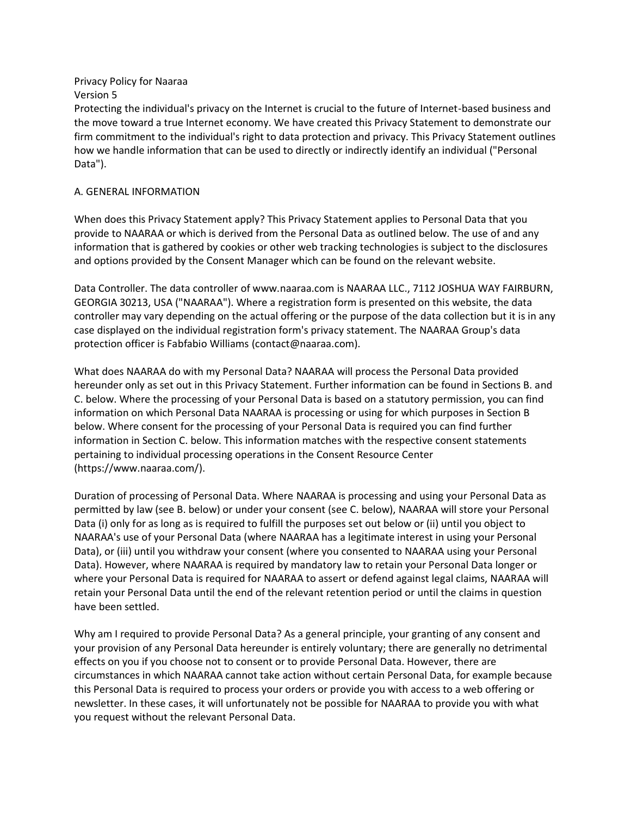Privacy Policy for Naaraa Version 5

Protecting the individual's privacy on the Internet is crucial to the future of Internet-based business and the move toward a true Internet economy. We have created this Privacy Statement to demonstrate our firm commitment to the individual's right to data protection and privacy. This Privacy Statement outlines how we handle information that can be used to directly or indirectly identify an individual ("Personal Data").

## A. GENERAL INFORMATION

When does this Privacy Statement apply? This Privacy Statement applies to Personal Data that you provide to NAARAA or which is derived from the Personal Data as outlined below. The use of and any information that is gathered by cookies or other web tracking technologies is subject to the disclosures and options provided by the Consent Manager which can be found on the relevant website.

Data Controller. The data controller of www.naaraa.com is NAARAA LLC., 7112 JOSHUA WAY FAIRBURN, GEORGIA 30213, USA ("NAARAA"). Where a registration form is presented on this website, the data controller may vary depending on the actual offering or the purpose of the data collection but it is in any case displayed on the individual registration form's privacy statement. The NAARAA Group's data protection officer is Fabfabio Williams (contact@naaraa.com).

What does NAARAA do with my Personal Data? NAARAA will process the Personal Data provided hereunder only as set out in this Privacy Statement. Further information can be found in Sections B. and C. below. Where the processing of your Personal Data is based on a statutory permission, you can find information on which Personal Data NAARAA is processing or using for which purposes in Section B below. Where consent for the processing of your Personal Data is required you can find further information in Section C. below. This information matches with the respective consent statements pertaining to individual processing operations in the Consent Resource Center (https://www.naaraa.com/).

Duration of processing of Personal Data. Where NAARAA is processing and using your Personal Data as permitted by law (see B. below) or under your consent (see C. below), NAARAA will store your Personal Data (i) only for as long as is required to fulfill the purposes set out below or (ii) until you object to NAARAA's use of your Personal Data (where NAARAA has a legitimate interest in using your Personal Data), or (iii) until you withdraw your consent (where you consented to NAARAA using your Personal Data). However, where NAARAA is required by mandatory law to retain your Personal Data longer or where your Personal Data is required for NAARAA to assert or defend against legal claims, NAARAA will retain your Personal Data until the end of the relevant retention period or until the claims in question have been settled.

Why am I required to provide Personal Data? As a general principle, your granting of any consent and your provision of any Personal Data hereunder is entirely voluntary; there are generally no detrimental effects on you if you choose not to consent or to provide Personal Data. However, there are circumstances in which NAARAA cannot take action without certain Personal Data, for example because this Personal Data is required to process your orders or provide you with access to a web offering or newsletter. In these cases, it will unfortunately not be possible for NAARAA to provide you with what you request without the relevant Personal Data.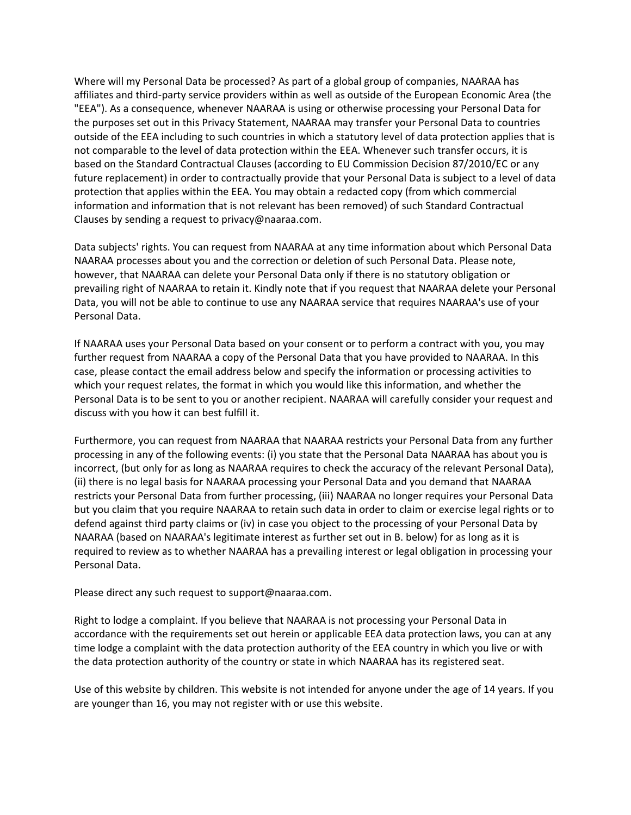Where will my Personal Data be processed? As part of a global group of companies, NAARAA has affiliates and third-party service providers within as well as outside of the European Economic Area (the "EEA"). As a consequence, whenever NAARAA is using or otherwise processing your Personal Data for the purposes set out in this Privacy Statement, NAARAA may transfer your Personal Data to countries outside of the EEA including to such countries in which a statutory level of data protection applies that is not comparable to the level of data protection within the EEA. Whenever such transfer occurs, it is based on the Standard Contractual Clauses (according to EU Commission Decision 87/2010/EC or any future replacement) in order to contractually provide that your Personal Data is subject to a level of data protection that applies within the EEA. You may obtain a redacted copy (from which commercial information and information that is not relevant has been removed) of such Standard Contractual Clauses by sending a request to privacy@naaraa.com.

Data subjects' rights. You can request from NAARAA at any time information about which Personal Data NAARAA processes about you and the correction or deletion of such Personal Data. Please note, however, that NAARAA can delete your Personal Data only if there is no statutory obligation or prevailing right of NAARAA to retain it. Kindly note that if you request that NAARAA delete your Personal Data, you will not be able to continue to use any NAARAA service that requires NAARAA's use of your Personal Data.

If NAARAA uses your Personal Data based on your consent or to perform a contract with you, you may further request from NAARAA a copy of the Personal Data that you have provided to NAARAA. In this case, please contact the email address below and specify the information or processing activities to which your request relates, the format in which you would like this information, and whether the Personal Data is to be sent to you or another recipient. NAARAA will carefully consider your request and discuss with you how it can best fulfill it.

Furthermore, you can request from NAARAA that NAARAA restricts your Personal Data from any further processing in any of the following events: (i) you state that the Personal Data NAARAA has about you is incorrect, (but only for as long as NAARAA requires to check the accuracy of the relevant Personal Data), (ii) there is no legal basis for NAARAA processing your Personal Data and you demand that NAARAA restricts your Personal Data from further processing, (iii) NAARAA no longer requires your Personal Data but you claim that you require NAARAA to retain such data in order to claim or exercise legal rights or to defend against third party claims or (iv) in case you object to the processing of your Personal Data by NAARAA (based on NAARAA's legitimate interest as further set out in B. below) for as long as it is required to review as to whether NAARAA has a prevailing interest or legal obligation in processing your Personal Data.

Please direct any such request to support@naaraa.com.

Right to lodge a complaint. If you believe that NAARAA is not processing your Personal Data in accordance with the requirements set out herein or applicable EEA data protection laws, you can at any time lodge a complaint with the data protection authority of the EEA country in which you live or with the data protection authority of the country or state in which NAARAA has its registered seat.

Use of this website by children. This website is not intended for anyone under the age of 14 years. If you are younger than 16, you may not register with or use this website.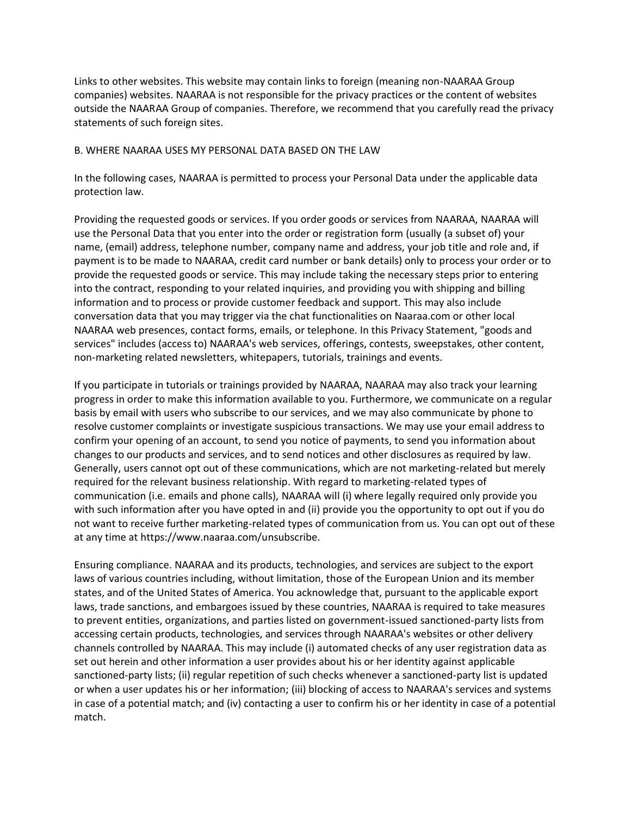Links to other websites. This website may contain links to foreign (meaning non-NAARAA Group companies) websites. NAARAA is not responsible for the privacy practices or the content of websites outside the NAARAA Group of companies. Therefore, we recommend that you carefully read the privacy statements of such foreign sites.

## B. WHERE NAARAA USES MY PERSONAL DATA BASED ON THE LAW

In the following cases, NAARAA is permitted to process your Personal Data under the applicable data protection law.

Providing the requested goods or services. If you order goods or services from NAARAA, NAARAA will use the Personal Data that you enter into the order or registration form (usually (a subset of) your name, (email) address, telephone number, company name and address, your job title and role and, if payment is to be made to NAARAA, credit card number or bank details) only to process your order or to provide the requested goods or service. This may include taking the necessary steps prior to entering into the contract, responding to your related inquiries, and providing you with shipping and billing information and to process or provide customer feedback and support. This may also include conversation data that you may trigger via the chat functionalities on Naaraa.com or other local NAARAA web presences, contact forms, emails, or telephone. In this Privacy Statement, "goods and services" includes (access to) NAARAA's web services, offerings, contests, sweepstakes, other content, non-marketing related newsletters, whitepapers, tutorials, trainings and events.

If you participate in tutorials or trainings provided by NAARAA, NAARAA may also track your learning progress in order to make this information available to you. Furthermore, we communicate on a regular basis by email with users who subscribe to our services, and we may also communicate by phone to resolve customer complaints or investigate suspicious transactions. We may use your email address to confirm your opening of an account, to send you notice of payments, to send you information about changes to our products and services, and to send notices and other disclosures as required by law. Generally, users cannot opt out of these communications, which are not marketing-related but merely required for the relevant business relationship. With regard to marketing-related types of communication (i.e. emails and phone calls), NAARAA will (i) where legally required only provide you with such information after you have opted in and (ii) provide you the opportunity to opt out if you do not want to receive further marketing-related types of communication from us. You can opt out of these at any time at https://www.naaraa.com/unsubscribe.

Ensuring compliance. NAARAA and its products, technologies, and services are subject to the export laws of various countries including, without limitation, those of the European Union and its member states, and of the United States of America. You acknowledge that, pursuant to the applicable export laws, trade sanctions, and embargoes issued by these countries, NAARAA is required to take measures to prevent entities, organizations, and parties listed on government-issued sanctioned-party lists from accessing certain products, technologies, and services through NAARAA's websites or other delivery channels controlled by NAARAA. This may include (i) automated checks of any user registration data as set out herein and other information a user provides about his or her identity against applicable sanctioned-party lists; (ii) regular repetition of such checks whenever a sanctioned-party list is updated or when a user updates his or her information; (iii) blocking of access to NAARAA's services and systems in case of a potential match; and (iv) contacting a user to confirm his or her identity in case of a potential match.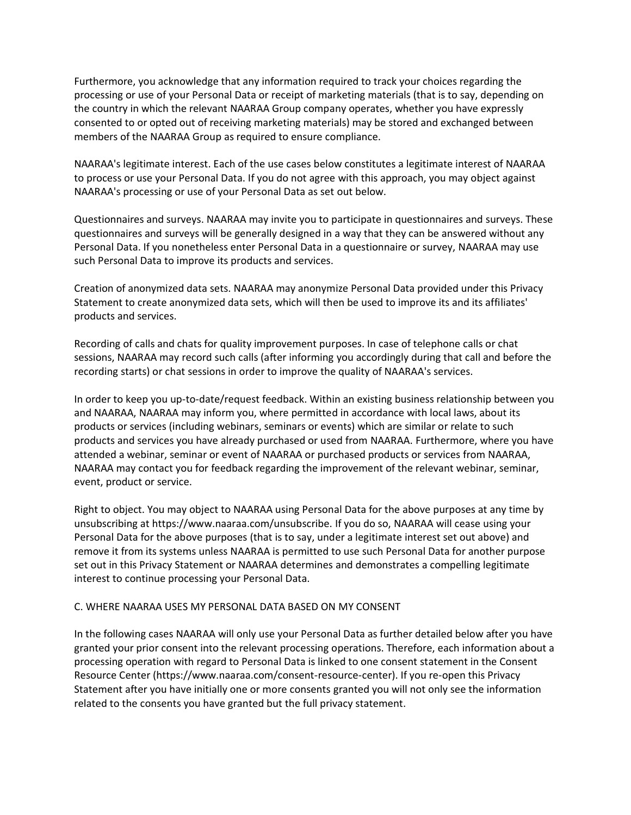Furthermore, you acknowledge that any information required to track your choices regarding the processing or use of your Personal Data or receipt of marketing materials (that is to say, depending on the country in which the relevant NAARAA Group company operates, whether you have expressly consented to or opted out of receiving marketing materials) may be stored and exchanged between members of the NAARAA Group as required to ensure compliance.

NAARAA's legitimate interest. Each of the use cases below constitutes a legitimate interest of NAARAA to process or use your Personal Data. If you do not agree with this approach, you may object against NAARAA's processing or use of your Personal Data as set out below.

Questionnaires and surveys. NAARAA may invite you to participate in questionnaires and surveys. These questionnaires and surveys will be generally designed in a way that they can be answered without any Personal Data. If you nonetheless enter Personal Data in a questionnaire or survey, NAARAA may use such Personal Data to improve its products and services.

Creation of anonymized data sets. NAARAA may anonymize Personal Data provided under this Privacy Statement to create anonymized data sets, which will then be used to improve its and its affiliates' products and services.

Recording of calls and chats for quality improvement purposes. In case of telephone calls or chat sessions, NAARAA may record such calls (after informing you accordingly during that call and before the recording starts) or chat sessions in order to improve the quality of NAARAA's services.

In order to keep you up-to-date/request feedback. Within an existing business relationship between you and NAARAA, NAARAA may inform you, where permitted in accordance with local laws, about its products or services (including webinars, seminars or events) which are similar or relate to such products and services you have already purchased or used from NAARAA. Furthermore, where you have attended a webinar, seminar or event of NAARAA or purchased products or services from NAARAA, NAARAA may contact you for feedback regarding the improvement of the relevant webinar, seminar, event, product or service.

Right to object. You may object to NAARAA using Personal Data for the above purposes at any time by unsubscribing at https://www.naaraa.com/unsubscribe. If you do so, NAARAA will cease using your Personal Data for the above purposes (that is to say, under a legitimate interest set out above) and remove it from its systems unless NAARAA is permitted to use such Personal Data for another purpose set out in this Privacy Statement or NAARAA determines and demonstrates a compelling legitimate interest to continue processing your Personal Data.

## C. WHERE NAARAA USES MY PERSONAL DATA BASED ON MY CONSENT

In the following cases NAARAA will only use your Personal Data as further detailed below after you have granted your prior consent into the relevant processing operations. Therefore, each information about a processing operation with regard to Personal Data is linked to one consent statement in the Consent Resource Center (https://www.naaraa.com/consent-resource-center). If you re-open this Privacy Statement after you have initially one or more consents granted you will not only see the information related to the consents you have granted but the full privacy statement.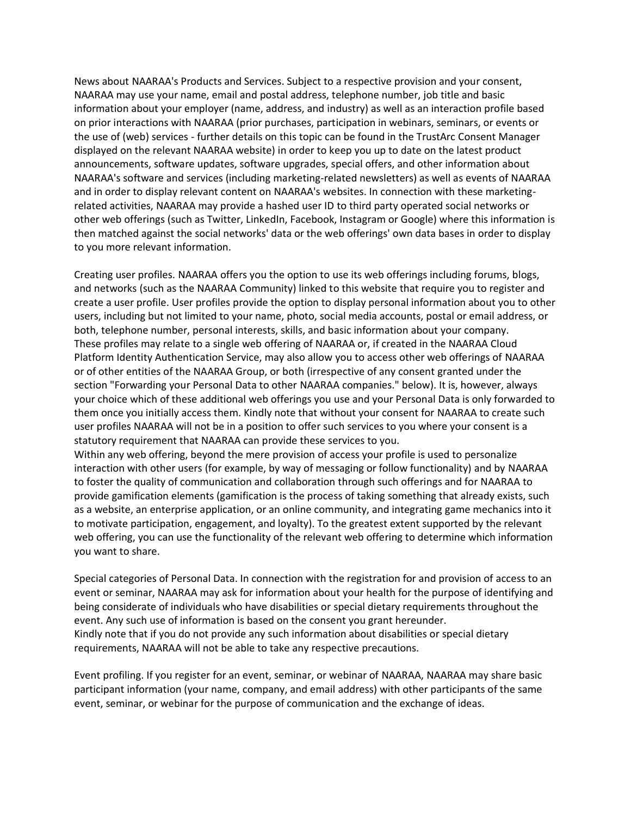News about NAARAA's Products and Services. Subject to a respective provision and your consent, NAARAA may use your name, email and postal address, telephone number, job title and basic information about your employer (name, address, and industry) as well as an interaction profile based on prior interactions with NAARAA (prior purchases, participation in webinars, seminars, or events or the use of (web) services - further details on this topic can be found in the TrustArc Consent Manager displayed on the relevant NAARAA website) in order to keep you up to date on the latest product announcements, software updates, software upgrades, special offers, and other information about NAARAA's software and services (including marketing-related newsletters) as well as events of NAARAA and in order to display relevant content on NAARAA's websites. In connection with these marketingrelated activities, NAARAA may provide a hashed user ID to third party operated social networks or other web offerings (such as Twitter, LinkedIn, Facebook, Instagram or Google) where this information is then matched against the social networks' data or the web offerings' own data bases in order to display to you more relevant information.

Creating user profiles. NAARAA offers you the option to use its web offerings including forums, blogs, and networks (such as the NAARAA Community) linked to this website that require you to register and create a user profile. User profiles provide the option to display personal information about you to other users, including but not limited to your name, photo, social media accounts, postal or email address, or both, telephone number, personal interests, skills, and basic information about your company. These profiles may relate to a single web offering of NAARAA or, if created in the NAARAA Cloud Platform Identity Authentication Service, may also allow you to access other web offerings of NAARAA or of other entities of the NAARAA Group, or both (irrespective of any consent granted under the section "Forwarding your Personal Data to other NAARAA companies." below). It is, however, always your choice which of these additional web offerings you use and your Personal Data is only forwarded to them once you initially access them. Kindly note that without your consent for NAARAA to create such user profiles NAARAA will not be in a position to offer such services to you where your consent is a statutory requirement that NAARAA can provide these services to you.

Within any web offering, beyond the mere provision of access your profile is used to personalize interaction with other users (for example, by way of messaging or follow functionality) and by NAARAA to foster the quality of communication and collaboration through such offerings and for NAARAA to provide gamification elements (gamification is the process of taking something that already exists, such as a website, an enterprise application, or an online community, and integrating game mechanics into it to motivate participation, engagement, and loyalty). To the greatest extent supported by the relevant web offering, you can use the functionality of the relevant web offering to determine which information you want to share.

Special categories of Personal Data. In connection with the registration for and provision of access to an event or seminar, NAARAA may ask for information about your health for the purpose of identifying and being considerate of individuals who have disabilities or special dietary requirements throughout the event. Any such use of information is based on the consent you grant hereunder. Kindly note that if you do not provide any such information about disabilities or special dietary requirements, NAARAA will not be able to take any respective precautions.

Event profiling. If you register for an event, seminar, or webinar of NAARAA, NAARAA may share basic participant information (your name, company, and email address) with other participants of the same event, seminar, or webinar for the purpose of communication and the exchange of ideas.